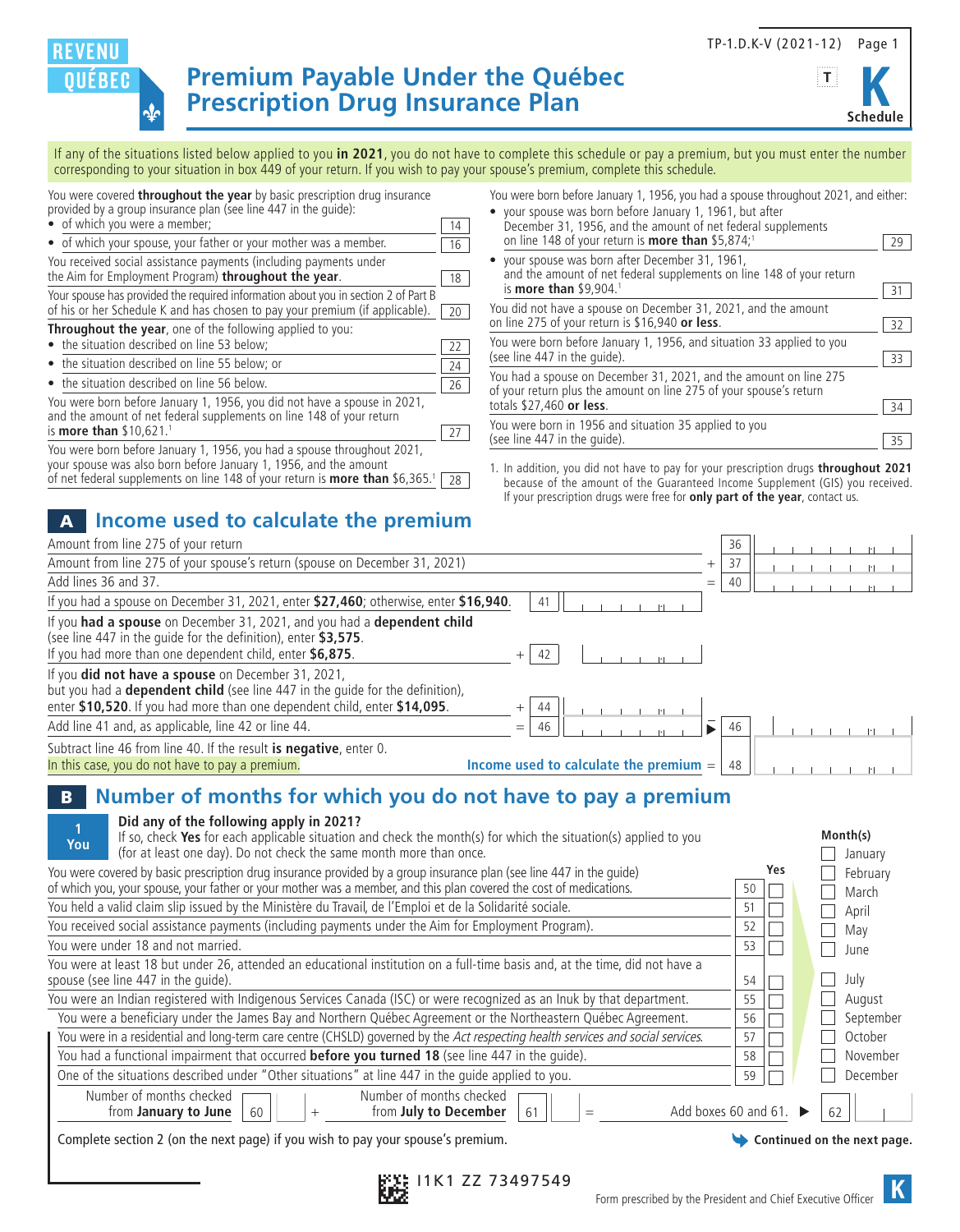TP-1.D.K-V (2021-12) Page 1



**Premium Payable Under the Québec<br>
Prescription Drug Insurance Plan** 

If any of the situations listed below applied to you **in 2021**, you do not have to complete this schedule or pay a premium, but you must enter the number corresponding to your situation in box 449 of your return. If you wish to pay your spouse's premium, complete this schedule.

You were covered **throughout the year** by basic prescription drug insurance provided by a group insurance plan (see line 447 in the guide):

- of which you were a member; 14 • of which your spouse, your father or your mother was a member. You received social assistance payments (including payments under the Aim for Employment Program) **throughout the year**. Your spouse has provided the required information about you in section 2 of Part B of his or her Schedule K and has chosen to pay your premium (if applicable).  $\boxed{20}$ **Throughout the year**, one of the following applied to you:
- the situation described on line 53 below;  $\sqrt{22}$

৵ৈ

**REVENU OUEBEC** 

- the situation described on line 55 below; or 24
- the situation described on line 56 below.  $\sqrt{26}$

| You were born before January 1, 1956, you did not have a spouse in 2021,<br>and the amount of net federal supplements on line 148 of your return |                 |
|--------------------------------------------------------------------------------------------------------------------------------------------------|-----------------|
| is <b>more than</b> \$10,621. <sup>1</sup>                                                                                                       | $\overline{27}$ |

| You were born before January 1, 1956, you had a spouse throughout 2021,                            |  |
|----------------------------------------------------------------------------------------------------|--|
| your spouse was also born before January 1, 1956, and the amount                                   |  |
| of net federal supplements on line 148 of your return is <b>more than</b> \$6,365. <sup>1</sup> 28 |  |

## A **Income used to calculate the premium**

| You were born before January 1, 1956, you had a spouse throughout 2021, and either: |    |  |
|-------------------------------------------------------------------------------------|----|--|
| • your spouse was born before January 1, 1961, but after                            |    |  |
| December 31, 1956, and the amount of net federal supplements                        |    |  |
| on line 148 of your return is <b>more than</b> \$5,874; <sup>1</sup>                | 29 |  |

| • your spouse was born after December 31, 1961,<br>and the amount of net federal supplements on line 148 of your return                 |    |
|-----------------------------------------------------------------------------------------------------------------------------------------|----|
| is <b>more than</b> \$9,904. <sup>1</sup>                                                                                               | 31 |
| You did not have a spouse on December 31, 2021, and the amount                                                                          |    |
| on line 275 of your return is \$16,940 or less.                                                                                         | 32 |
| You were born before January 1, 1956, and situation 33 applied to you                                                                   |    |
| (see line 447 in the quide).                                                                                                            | 33 |
| You had a spouse on December 31, 2021, and the amount on line 275<br>of your return plus the amount on line 275 of your spouse's return |    |
| totals \$27,460 or less.                                                                                                                | 34 |
| You were born in 1956 and situation 35 applied to you                                                                                   |    |
| (see line 447 in the quide).                                                                                                            | 35 |

1. In addition, you did not have to pay for your prescription drugs **throughout 2021** because of the amount of the Guaranteed Income Supplement (GIS) you received. If your prescription drugs were free for **only part of the year**, contact us.

| Amount from line 275 of your return                                                                                                                                                                                            |                                              |     | 36 |  |  |  |
|--------------------------------------------------------------------------------------------------------------------------------------------------------------------------------------------------------------------------------|----------------------------------------------|-----|----|--|--|--|
| Amount from line 275 of your spouse's return (spouse on December 31, 2021)                                                                                                                                                     |                                              |     | 37 |  |  |  |
| Add lines 36 and 37.                                                                                                                                                                                                           |                                              | $=$ | 40 |  |  |  |
| If you had a spouse on December 31, 2021, enter \$27,460; otherwise, enter \$16,940.                                                                                                                                           | 41                                           |     |    |  |  |  |
| If you had a spouse on December 31, 2021, and you had a dependent child<br>(see line 447 in the quide for the definition), enter \$3,575.<br>If you had more than one dependent child, enter \$6,875.                          | 42                                           |     |    |  |  |  |
| If you <b>did not have a spouse</b> on December 31, 2021,<br>but you had a <b>dependent child</b> (see line 447 in the quide for the definition),<br>enter \$10,520. If you had more than one dependent child, enter \$14,095. |                                              |     |    |  |  |  |
| Add line 41 and, as applicable, line 42 or line 44.                                                                                                                                                                            | 46                                           |     | 46 |  |  |  |
| Subtract line 46 from line 40. If the result is negative, enter 0.<br>In this case, you do not have to pay a premium.                                                                                                          | Income used to calculate the premium $=$ $ $ |     | 48 |  |  |  |

## B **Number of months for which you do not have to pay a premium**

| Did any of the following apply in 2021?<br>If so, check Yes for each applicable situation and check the month(s) for which the situation(s) applied to you |    |     | Month(s)                    |
|------------------------------------------------------------------------------------------------------------------------------------------------------------|----|-----|-----------------------------|
| You<br>(for at least one day). Do not check the same month more than once.                                                                                 |    |     | January                     |
| You were covered by basic prescription drug insurance provided by a group insurance plan (see line 447 in the quide)                                       |    | Yes | February                    |
| of which you, your spouse, your father or your mother was a member, and this plan covered the cost of medications.                                         | 50 |     | March                       |
| You held a valid claim slip issued by the Ministère du Travail, de l'Emploi et de la Solidarité sociale.                                                   | 51 |     | April                       |
| You received social assistance payments (including payments under the Aim for Employment Program).                                                         | 52 |     | May                         |
| You were under 18 and not married.                                                                                                                         | 53 |     | June                        |
| You were at least 18 but under 26, attended an educational institution on a full-time basis and, at the time, did not have a                               |    |     |                             |
| spouse (see line 447 in the quide).                                                                                                                        | 54 |     | July                        |
| You were an Indian registered with Indigenous Services Canada (ISC) or were recognized as an Inuk by that department.                                      | 55 |     | August                      |
| You were a beneficiary under the James Bay and Northern Québec Agreement or the Northeastern Québec Agreement.                                             | 56 |     | September                   |
| You were in a residential and long-term care centre (CHSLD) governed by the Act respecting health services and social services.                            | 57 |     | October                     |
| You had a functional impairment that occurred before you turned 18 (see line 447 in the guide).                                                            | 58 |     | November                    |
| One of the situations described under "Other situations" at line 447 in the quide applied to you.                                                          | 59 |     | December                    |
| Number of months checked<br>Number of months checked<br>Add boxes 60 and 61<br>from July to December<br>from January to June<br>60<br>61                   |    |     | 62                          |
| Complete section 2 (on the next page) if you wish to pay your spouse's premium.                                                                            |    |     | Continued on the next page. |